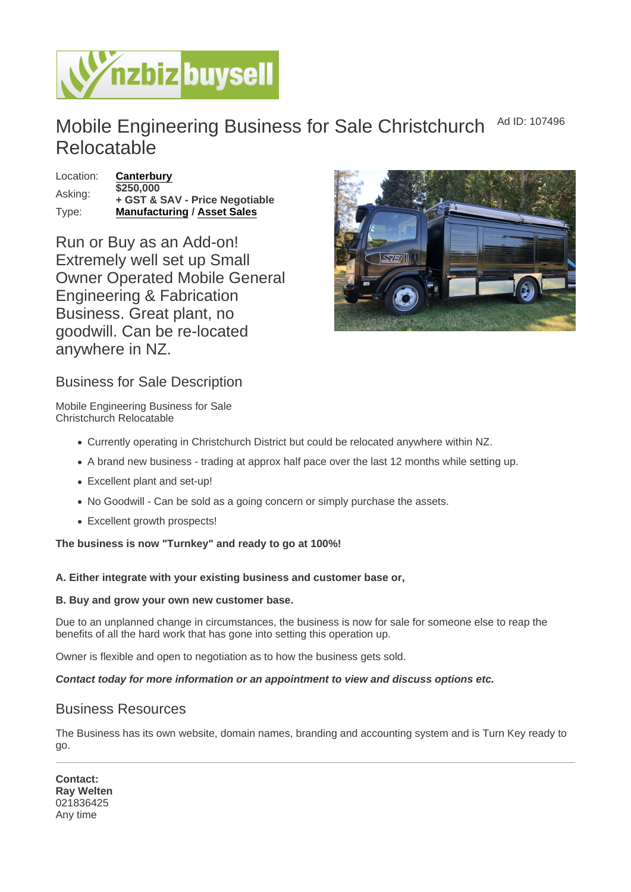## Mobile Engineering Business for Sale Christchurch Relocatable Ad ID: 107496

Location: [Canterbury](https://www.nzbizbuysell.co.nz/businesses-for-sale/location/Canterbury)  $\overline{$}250,000$ <br>Asking: + GST & SAV - Price Negotiable Type: [Manufacturing](https://www.nzbizbuysell.co.nz/businesses-for-sale/Manufacturing/New-Zealand) / [Asset Sales](https://www.nzbizbuysell.co.nz/businesses-for-sale/Assets/New-Zealand)

Run or Buy as an Add-on! Extremely well set up Small Owner Operated Mobile General Engineering & Fabrication Business. Great plant, no goodwill. Can be re-located anywhere in NZ.

## Business for Sale Description

Mobile Engineering Business for Sale Christchurch Relocatable

- Currently operating in Christchurch District but could be relocated anywhere within NZ.
- A brand new business trading at approx half pace over the last 12 months while setting up.
- Excellent plant and set-up!
- No Goodwill Can be sold as a going concern or simply purchase the assets.
- Excellent growth prospects!

The business is now "Turnkey" and ready to go at 100%!

A. Either integrate with your existing business and customer base or,

B. Buy and grow your own new customer base.

Due to an unplanned change in circumstances, the business is now for sale for someone else to reap the benefits of all the hard work that has gone into setting this operation up.

Owner is flexible and open to negotiation as to how the business gets sold.

Contact today for more information or an appointment to view and discuss options etc.

## Business Resources

The Business has its own website, domain names, branding and accounting system and is Turn Key ready to go.

Contact: Ray Welten 021836425 Any time